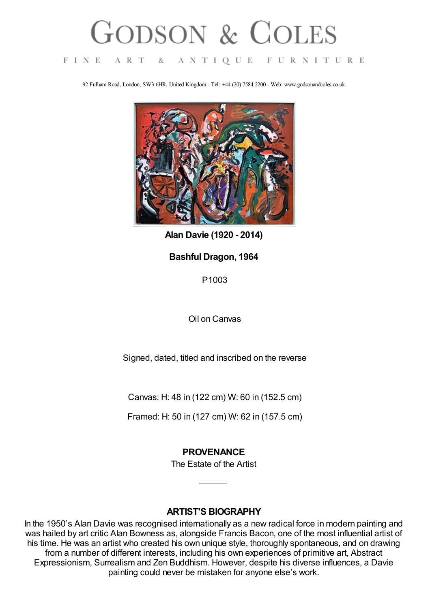# **GODSON & COLES**

#### FINE ART  $8c$ ANTIQUE FURNITURE

92 Fulham Road, London, SW3 6HR, United Kingdom - Tel: +44 (20) 7584 2200 - Web: www.godsonandcoles.co.uk



**Alan Davie (1920 - 2014)**

## **Bashful Dragon, 1964**

P1003

Oil on Canvas

Signed, dated, titled and inscribed on the reverse

Canvas: H: 48 in (122 cm) W: 60 in (152.5 cm)

Framed: H: 50 in (127 cm) W: 62 in (157.5 cm)

## **PROVENANCE**

The Estate of the Artist

#### **ARTIST'S BIOGRAPHY**

In the 1950's Alan Davie was recognised internationally as a new radical force in modern painting and was hailed by art critic Alan Bowness as, alongside Francis Bacon, one of the most influential artist of his time. He was an artist who created his own unique style, thoroughly spontaneous, and on drawing from a number of different interests, including his own experiences of primitive art, Abstract Expressionism, Surrealism and Zen Buddhism. However, despite his diverse influences, a Davie painting could never be mistaken for anyone else's work.